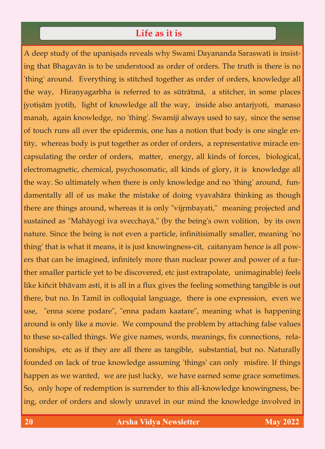## Life as it is **Life as it is**

A deep study of the upanisads reveals why Swami Dayananda Saraswati is insist-<br>ing that Bhagavān is to be understood as order of orders. The truth is there is no ing that Bhagavän is to be understood as order of orders. The truth is there is no 'thing' around. Everything is stitched together as order of orders, knowledge all the way, Hiranyagarbha is referred to as sūtrātmā, a stitcher, in some places<br>
jyotisām jyotiḥ, light of knowledge all the way, inside also antarjyoti, manaso jyoti $\alpha$  jyoti $\alpha$  of knowledge all the way, inside all the way, inside also antarjyoti, manasoon also antarjyoti, manasoon all the way, inside all the way, inside all the way, inside all the way, inside all the way, ins manaù, again knowledge, no 'thing'. Swamiji always used to say, since the sense of touch runs all over the epidermis, one has a notion that body is one single entity, whereas body is put together as order of orders, a representative miracle encapsulating the order of orders, matter, energy, all kinds of forces, biological, electromagnetic, chemical, psychosomatic, all kinds of glory, it is knowledge all electromagnetic, chemical, psychosomatic, all kinds of glory, it is knowledge all the way. So ultimately when there is only knowledge and no 'thing' around, fundamentally all of us make the mistake of doing vyavahāra thinking as though there are things around, whereas it is only "vijrmbayati," meaning projected and  $\sigma$ <sup>th</sup> around, whereas it is independent and  $\sigma$  is  $\sigma$  is  $\sigma$ sustained as "Mahäyogi iva svecchayä," (by the being's own volition, by its own nature. Since the being is not even a particle, infinitisimally smaller, meaning 'no thing' that is what it means, it is just knowingness-cit, caitanyam hence is all powers that can be imagined, infinitely more than nuclear power and power of a fur-<br>ther smaller particle yet to be discovered, etc just extrapolate, unimaginable) feels like kiñcit bhāvam asti, it is all in a flux gives the feeling something tangible is out there, but no. In Tamil in colloquial language, there is one expression, even we  $\theta$  no. In  $\theta$  and  $\theta$  is one expression, even we express in  $\theta$  $\mathbb{R}^n$ , "enna scene podare", "enna padam kaatare", meaning what is happening what is happening what is happening what is happening what is happening what is happening what is happening what is happening what is happen around is only like a movie. We compound the problem by attaching false values to these so-called things. We give names, words, meanings, fix connections, relationships, etc as if they are all there as tangible, substantial, but no. Naturally  $\frac{1}{\sqrt{2}}$ founded on lack of true knowledge assuming 'things' can only misfire. If things happen as we wanted, we are just lucky, we have earned some grace sometimes.<br>So, only hope of redemption is surrender to this all-knowledge knowingness, be- $S_{\rm s}$  , only hope of redemption is surrender to this all-knowledge knowledge knowledge knowledge knowledge knowledge knowledge knowledge knowledge knowledge knowledge knowledge knowledge knowledge knowledge knowledge k  $\sigma$ , order of order orders and slowly unravel in our mind the knowledge involved in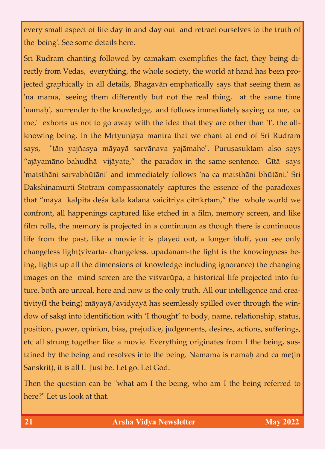every small aspect of life day in and day out and retract ourselves to the truth of the 'being'. See some details here.

Sri Rudram chanting followed by camakam exemplifies the fact, they being directly from Vedas, everything, the whole society, the world at hand has been projected graphically in all details, Bhagavān emphatically says that seeing them as jected graphically in all details, Bhagavän emphatically says that seeing them as that seeing them as that seeing them as  $\alpha$ 'na mama,' seeing them differently but not the real thing, at the same time 'namah', surrender to the knowledge, and follows immediately saying 'ca me, ca me,' exhorts us not to go away with the idea that they are other than 'I', the all-<br>knowing being. In the Mrtyunjaya mantra that we chant at end of Sri Rudram says, "țān yajñasya māyayā sarvānava yajāmahe". Puruṣasuktam also says "ajāyamāno bahudhā vijāyate," the paradox in the same sentence. Gītā says "ajäyamäno bahudhä vijäyate," the paradox in the paradox in the same sentence. Gétä says in the same sentence.<br>Gétä says in the paradox in the same sentence. Gétä says in the same sentence. Gétä says in the same sentence. 'matsthäni sarvabhütäni' and immediately follows 'na ca matsthäni bhütäni.' Sri Dakshinamurti Stotram compassionately captures the essence of the paradoxes that "māyā kalpita deśa kāla kalanā vaicitriya citrīkrtam," the whole world we confront, all happenings captured like etched in a film, memory screen, and like film rolls, the memory is projected in a continuum as though there is continuous life from the past, like a movie it is played out, a longer bluff, you see only changeless light(vivarta-changeless, upādānam-the light is the knowingness being, lights up all the dimensions of knowledge including ignorance) the changing images on the mind screen are the visvarūpa, a historical life projected into future, both are unreal, here and now is the only truth. All our intelligence and crea- $\theta$  turned, here are unreal, here and now is the only truth. All our intelligence and crea- $\sigma$  avid being being the being spinler spinler seemlessly spilled over the win- $\frac{d}{dt}$  is said, namely to body, namely to body, namely to body, namely relationship, status, relationship, status,  $\frac{d}{dt}$ position, power, power, press, judgement, actions, actions, sufferings, actions, sufferings,  $\sigma$ etch all strung together like a movie. Everything originates from I the being, sus- $\sigma$  tain  $\sigma$  and resolves into the being and can make  $\sigma$ Sanskrit), it is all I. Just be. Let go. Let God.

Then the question can be "what am I the being, who am I the being referred to here?" Let us look at that. here?" Let us look at that.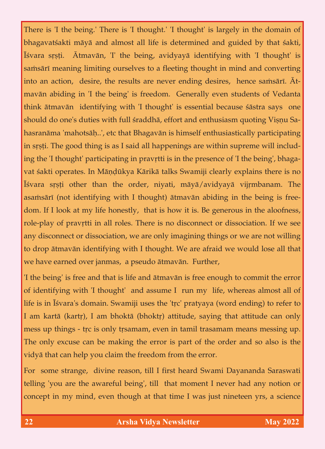There is 'I the being.' There is 'I thought.' 'I thought' is largely in the domain of bhagavatçakti mäyä and almost all life is determined and guided by that çakti, Iśvara srṣṭi. Atmavān, 'I' the being, avidyayā identifying with 'I thought' is samsārī meaning limiting ourselves to a fleeting thought in mind and converting<br>into an action, desire, the results are never ending desires, hence samsārī. Ātinto an action, desire, the results are never ending desires, hence saàsäré. Ätmavän abiding in 'I the being' is freedom. Generally even students of Vedanta think ātmavān identifying with 'I thought' is essential because sāstra says one should do one's duties with full sraddhā, effort and enthusiasm quoting Visnu Sahasranāma 'mahotsāḥ..', etc that Bhagavān is himself enthusiastically participating<br>in srsti. The good thing is as I said all happenings are within supreme will includin såñöi. The good thing is as I said all happenings are will include  $\frac{1}{\sqrt{2}}$  supplies are within supplies are within supplies are within supplies are within supplies are within supplies are within supplies are withi ing the 'I thought' participating in pravrtti is in the presence of 'I the being', bhagavat śakti operates. In Māṇḍūkya Kārikā talks Swamiji clearly explains there is no<br>Īśvara srṣṭi other than the order, niyati, māyā/avidyayā vijṛmbanam. The asamsārī (not identifying with I thought) ātmavān abiding in the being is freedom. If I look at my life honestly, that is how it is. Be generous in the aloofness, dom. If I look at my life honestly, that is how it is how it is how it is how it is how it is how it is how it is how it is how it is how it is how it is how it is how it is how it is how it is how it is how it is how it role-play of pravåtti in all roles. There is no disconnect or dissociation. If we see any disconnect or dissociation, we are only independent or we are not will imagine things or we are not will n  $\frac{1}{\sqrt{2}}$  to drop and  $\frac{1}{\sqrt{2}}$  are afraid with I thought. We are afraid with  $\frac{1}{\sqrt{2}}$ we have earned over  $\mathbf{y}^{\text{max}}$  and  $\mathbf{y}^{\text{max}}$  and  $\mathbf{y}^{\text{max}}$ 

'I the being' is free and that is life and ätmavän is free enough to commit the error of identifying with 'I thought' and assume I run my life, whereas almost all of life is in Īśvara's domain. Swamiji uses the 'tṛc' pratyaya (word ending) to refer to  $\vert$ I am kartā (kartṛ), I am bhoktā (bhoktṛ) attitude, saying that attitude can only I am kart $(x_i, y_i)$  and beta (bhokt $y_i$ ) attitude, saying that attitude can only mess up this only taming  $\sigma$  is only taming up. The same means means  $\sigma$  up. The only excuse can be making the error is part of the order and so also is the vidyä that can help you claim the freedom from the error.

For strange, divine reason, till I first heard  $\frac{1}{2}$  first heard Swami Dayananda Saraswati telling 'you are the awareful being', till that moment I never had any notion or concept in my mind, even though at that time I was just nineteen yrs, a science